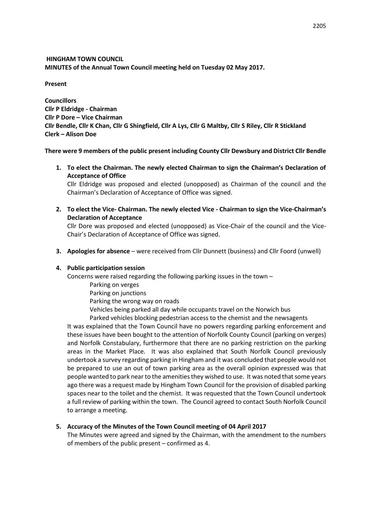# **HINGHAM TOWN COUNCIL MINUTES of the Annual Town Council meeting held on Tuesday 02 May 2017.**

**Present**

**Councillors Cllr P Eldridge - Chairman Cllr P Dore – Vice Chairman Cllr Bendle, Cllr K Chan, Cllr G Shingfield, Cllr A Lys, Cllr G Maltby, Cllr S Riley, Cllr R Stickland Clerk – Alison Doe**

**There were 9 members of the public present including County Cllr Dewsbury and District Cllr Bendle**

**1. To elect the Chairman. The newly elected Chairman to sign the Chairman's Declaration of Acceptance of Office**

Cllr Eldridge was proposed and elected (unopposed) as Chairman of the council and the Chairman's Declaration of Acceptance of Office was signed.

**2. To elect the Vice- Chairman. The newly elected Vice - Chairman to sign the Vice-Chairman's Declaration of Acceptance**

Cllr Dore was proposed and elected (unopposed) as Vice-Chair of the council and the Vice-Chair's Declaration of Acceptance of Office was signed.

**3. Apologies for absence** – were received from Cllr Dunnett (business) and Cllr Foord (unwell)

# **4. Public participation session**

Concerns were raised regarding the following parking issues in the town –

- Parking on verges
- Parking on junctions
- Parking the wrong way on roads
- Vehicles being parked all day while occupants travel on the Norwich bus
- Parked vehicles blocking pedestrian access to the chemist and the newsagents

It was explained that the Town Council have no powers regarding parking enforcement and these issues have been bought to the attention of Norfolk County Council (parking on verges) and Norfolk Constabulary, furthermore that there are no parking restriction on the parking areas in the Market Place. It was also explained that South Norfolk Council previously undertook a survey regarding parking in Hingham and it was concluded that people would not be prepared to use an out of town parking area as the overall opinion expressed was that people wanted to park near to the amenities they wished to use. It was noted that some years ago there was a request made by Hingham Town Council for the provision of disabled parking spaces near to the toilet and the chemist. It was requested that the Town Council undertook a full review of parking within the town. The Council agreed to contact South Norfolk Council to arrange a meeting.

# **5. Accuracy of the Minutes of the Town Council meeting of 04 April 2017**

The Minutes were agreed and signed by the Chairman, with the amendment to the numbers of members of the public present – confirmed as 4.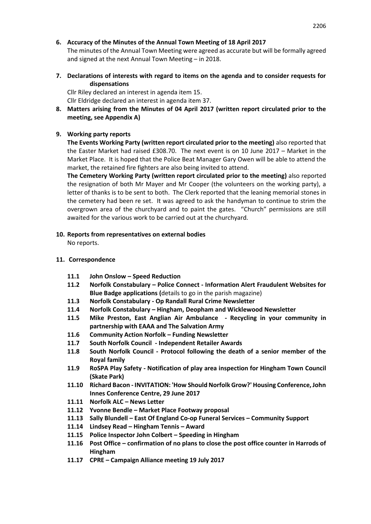## **6. Accuracy of the Minutes of the Annual Town Meeting of 18 April 2017**

The minutes of the Annual Town Meeting were agreed as accurate but will be formally agreed and signed at the next Annual Town Meeting – in 2018.

**7. Declarations of interests with regard to items on the agenda and to consider requests for dispensations**

Cllr Riley declared an interest in agenda item 15.

Cllr Eldridge declared an interest in agenda item 37.

**8. Matters arising from the Minutes of 04 April 2017 (written report circulated prior to the meeting, see Appendix A)**

# **9. Working party reports**

**The Events Working Party (written report circulated prior to the meeting)** also reported that the Easter Market had raised £308.70. The next event is on 10 June 2017 – Market in the Market Place. It is hoped that the Police Beat Manager Gary Owen will be able to attend the market, the retained fire fighters are also being invited to attend.

**The Cemetery Working Party (written report circulated prior to the meeting)** also reported the resignation of both Mr Mayer and Mr Cooper (the volunteers on the working party), a letter of thanks is to be sent to both. The Clerk reported that the leaning memorial stones in the cemetery had been re set. It was agreed to ask the handyman to continue to strim the overgrown area of the churchyard and to paint the gates. "Church" permissions are still awaited for the various work to be carried out at the churchyard.

# **10. Reports from representatives on external bodies**

No reports.

# **11. Correspondence**

- **11.1 John Onslow – Speed Reduction**
- **11.2 Norfolk Constabulary – Police Connect - Information Alert Fraudulent Websites for Blue Badge applications (**details to go in the parish magazine)
- **11.3 Norfolk Constabulary - Op Randall Rural Crime Newsletter**
- **11.4 Norfolk Constabulary – Hingham, Deopham and Wicklewood Newsletter**
- **11.5 Mike Preston, East Anglian Air Ambulance - Recycling in your community in partnership with EAAA and The Salvation Army**
- **11.6 Community Action Norfolk – Funding Newsletter**
- **11.7 South Norfolk Council - Independent Retailer Awards**
- **11.8 South Norfolk Council - Protocol following the death of a senior member of the Royal family**
- **11.9 RoSPA Play Safety - Notification of play area inspection for Hingham Town Council (Skate Park)**
- **11.10 Richard Bacon - INVITATION: 'How Should Norfolk Grow?' Housing Conference, John Innes Conference Centre, 29 June 2017**
- **11.11 Norfolk ALC – News Letter**
- **11.12 Yvonne Bendle – Market Place Footway proposal**
- **11.13 Sally Blundell – East Of England Co-op Funeral Services – Community Support**
- **11.14 Lindsey Read – Hingham Tennis – Award**
- **11.15 Police Inspector John Colbert – Speeding in Hingham**
- **11.16 Post Office – confirmation of no plans to close the post office counter in Harrods of Hingham**
- **11.17 CPRE – Campaign Alliance meeting 19 July 2017**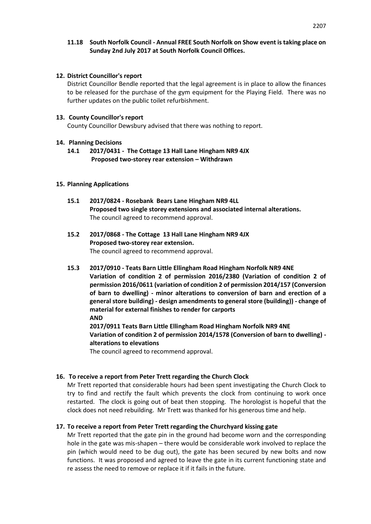### **11.18 South Norfolk Council - Annual FREE South Norfolk on Show event is taking place on Sunday 2nd July 2017 at South Norfolk Council Offices.**

### **12. District Councillor's report**

District Councillor Bendle reported that the legal agreement is in place to allow the finances to be released for the purchase of the gym equipment for the Playing Field. There was no further updates on the public toilet refurbishment.

### **13. County Councillor's report**

County Councillor Dewsbury advised that there was nothing to report.

### **14. Planning Decisions**

**14.1 2017/0431 - The Cottage 13 Hall Lane Hingham NR9 4JX Proposed two-storey rear extension – Withdrawn** 

### **15. Planning Applications**

- **15.1 2017/0824 - Rosebank Bears Lane Hingham NR9 4LL Proposed two single storey extensions and associated internal alterations.** The council agreed to recommend approval.
- **15.2 2017/0868 - The Cottage 13 Hall Lane Hingham NR9 4JX Proposed two-storey rear extension.** The council agreed to recommend approval.
- **15.3 2017/0910 - Teats Barn Little Ellingham Road Hingham Norfolk NR9 4NE Variation of condition 2 of permission 2016/2380 (Variation of condition 2 of permission 2016/0611 (variation of condition 2 of permission 2014/157 (Conversion of barn to dwelling) - minor alterations to conversion of barn and erection of a general store building) - design amendments to general store (building)) - change of material for external finishes to render for carports AND 2017/0911 Teats Barn Little Ellingham Road Hingham Norfolk NR9 4NE Variation of condition 2 of permission 2014/1578 (Conversion of barn to dwelling) alterations to elevations**

The council agreed to recommend approval.

# **16. To receive a report from Peter Trett regarding the Church Clock**

Mr Trett reported that considerable hours had been spent investigating the Church Clock to try to find and rectify the fault which prevents the clock from continuing to work once restarted. The clock is going out of beat then stopping. The horologist is hopeful that the clock does not need rebuilding. Mr Trett was thanked for his generous time and help.

# **17. To receive a report from Peter Trett regarding the Churchyard kissing gate**

Mr Trett reported that the gate pin in the ground had become worn and the corresponding hole in the gate was mis-shapen – there would be considerable work involved to replace the pin (which would need to be dug out), the gate has been secured by new bolts and now functions. It was proposed and agreed to leave the gate in its current functioning state and re assess the need to remove or replace it if it fails in the future.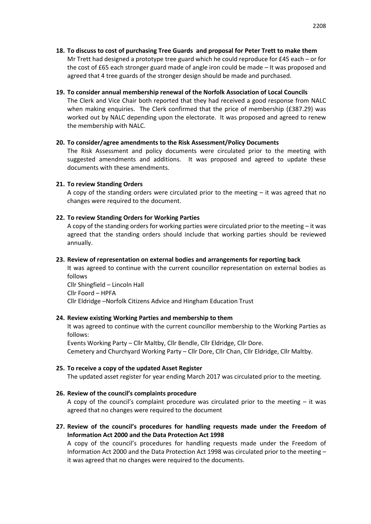**18. To discuss to cost of purchasing Tree Guards and proposal for Peter Trett to make them** Mr Trett had designed a prototype tree guard which he could reproduce for £45 each – or for the cost of £65 each stronger guard made of angle iron could be made – It was proposed and agreed that 4 tree guards of the stronger design should be made and purchased.

### **19. To consider annual membership renewal of the Norfolk Association of Local Councils**

The Clerk and Vice Chair both reported that they had received a good response from NALC when making enquiries. The Clerk confirmed that the price of membership (£387.29) was worked out by NALC depending upon the electorate. It was proposed and agreed to renew the membership with NALC.

### **20. To consider/agree amendments to the Risk Assessment/Policy Documents**

The Risk Assessment and policy documents were circulated prior to the meeting with suggested amendments and additions. It was proposed and agreed to update these documents with these amendments.

#### **21. To review Standing Orders**

A copy of the standing orders were circulated prior to the meeting  $-$  it was agreed that no changes were required to the document.

#### **22. To review Standing Orders for Working Parties**

A copy of the standing orders for working parties were circulated prior to the meeting  $-$  it was agreed that the standing orders should include that working parties should be reviewed annually.

#### **23. Review of representation on external bodies and arrangements for reporting back**

It was agreed to continue with the current councillor representation on external bodies as follows

Cllr Shingfield – Lincoln Hall Cllr Foord – HPFA Cllr Eldridge –Norfolk Citizens Advice and Hingham Education Trust

### **24. Review existing Working Parties and membership to them**

It was agreed to continue with the current councillor membership to the Working Parties as follows:

Events Working Party – Cllr Maltby, Cllr Bendle, Cllr Eldridge, Cllr Dore. Cemetery and Churchyard Working Party – Cllr Dore, Cllr Chan, Cllr Eldridge, Cllr Maltby.

### **25. To receive a copy of the updated Asset Register**

The updated asset register for year ending March 2017 was circulated prior to the meeting.

### **26. Review of the council's complaints procedure**

A copy of the council's complaint procedure was circulated prior to the meeting  $-$  it was agreed that no changes were required to the document

# **27. Review of the council's procedures for handling requests made under the Freedom of Information Act 2000 and the Data Protection Act 1998**

A copy of the council's procedures for handling requests made under the Freedom of Information Act 2000 and the Data Protection Act 1998 was circulated prior to the meeting – it was agreed that no changes were required to the documents.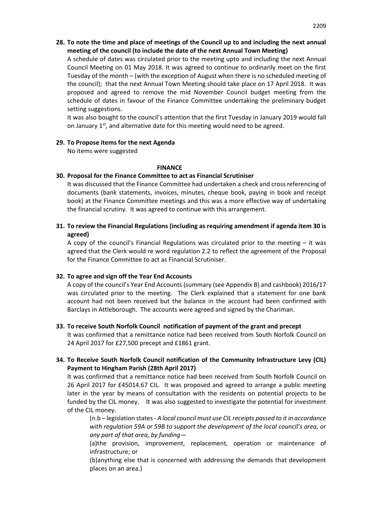## **28. To note the time and place of meetings of the Council up to and including the next annual meeting of the council (to include the date of the next Annual Town Meeting)**

A schedule of dates was circulated prior to the meeting upto and including the next Annual Council Meeting on 01 May 2018. It was agreed to continue to ordinarily meet on the first Tuesday of the month – (with the exception of August when there is no scheduled meeting of the council); that the next Annual Town Meeting should take place on 17 April 2018. It was proposed and agreed to remove the mid November Council budget meeting from the schedule of dates in favour of the Finance Committee undertaking the preliminary budget setting suggestions.

It was also bought to the council's attention that the first Tuesday in January 2019 would fall on January  $1<sup>st</sup>$ , and alternative date for this meeting would need to be agreed.

### **29. To Propose items for the next Agenda**

No items were suggested

#### **FINANCE**

### **30. Proposal for the Finance Committee to act as Financial Scrutiniser**

It was discussed that the Finance Committee had undertaken a check and cross referencing of documents (bank statements, invoices, minutes, cheque book, paying in book and receipt book) at the Finance Committee meetings and this was a more effective way of undertaking the financial scrutiny. It was agreed to continue with this arrangement.

## **31. To review the Financial Regulations (including as requiring amendment if agenda item 30 is agreed)**

A copy of the council's Financial Regulations was circulated prior to the meeting  $-$  it was agreed that the Clerk would re word regulation 2.2 to reflect the agreement of the Proposal for the Finance Committee to act as Financial Scrutiniser.

### **32. To agree and sign off the Year End Accounts**

A copy of the council's Year End Accounts (summary (see Appendix B) and cashbook) 2016/17 was circulated prior to the meeting. The Clerk explained that a statement for one bank account had not been received but the balance in the account had been confirmed with Barclays in Attleborough. The accounts were agreed and signed by the Chariman.

### **33. To receive South Norfolk Council notification of payment of the grant and precept**

It was confirmed that a remittance notice had been received from South Norfolk Council on 24 April 2017 for £27,500 precept and £1861 grant.

# **34. To Receive South Norfolk Council notification of the Community Infrastructure Levy (CIL) Payment to Hingham Parish (28th April 2017)**

It was confirmed that a remittance notice had been received from South Norfolk Council on 26 April 2017 for £45014.67 CIL. It was proposed and agreed to arrange a public meeting later in the year by means of consultation with the residents on potential projects to be funded by the CIL money. It was also suggested to investigate the potential for investment of the CIL money.

(n.b – legislation states - *A local council must use CIL receipts passed to it in accordance with regulation 59A or 59B to support the development of the local council's area, or any part of that area, by funding*—

(a)the provision, improvement, replacement, operation or maintenance of infrastructure; or

(b)anything else that is concerned with addressing the demands that development places on an area.)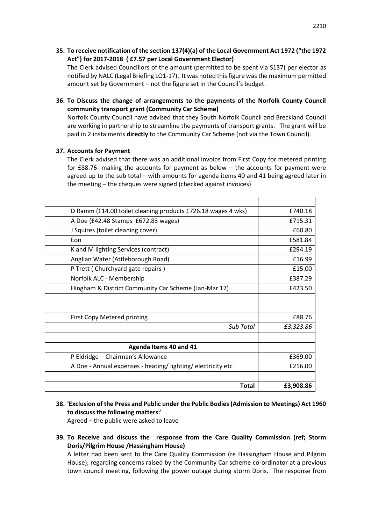**35. To receive notification of the section 137(4)(a) of the Local Government Act 1972 ("the 1972 Act") for 2017-2018 ( £7.57 per Local Government Elector)** 

The Clerk advised Councillors of the amount (permitted to be spent via S137) per elector as notified by NALC (Legal Briefing LO1-17). It was noted this figure was the maximum permitted amount set by Government – not the figure set in the Council's budget.

**36. To Discuss the change of arrangements to the payments of the Norfolk County Council community transport grant (Community Car Scheme)**

Norfolk County Council have advised that they South Norfolk Council and Breckland Council are working in partnership to streamline the payments of transport grants. The grant will be paid in 2 instalments **directly** to the Community Car Scheme (not via the Town Council).

### **37. Accounts for Payment**

The Clerk advised that there was an additional invoice from First Copy for metered printing for £88.76- making the accounts for payment as below – the accounts for payment were agreed up to the sub total – with amounts for agenda items 40 and 41 being agreed later in the meeting – the cheques were signed (checked against invoices)

| D Ramm (£14.00 toilet cleaning products £726.18 wages 4 wks) | £740.18   |
|--------------------------------------------------------------|-----------|
| A Doe (£42.48 Stamps £672.83 wages)                          | £715.31   |
| J Squires (toilet cleaning cover)                            | £60.80    |
| Fon                                                          | £581.84   |
| K and M lighting Services (contract)                         | £294.19   |
| Anglian Water (Attleborough Road)                            | £16.99    |
| P Trett (Churchyard gate repairs)                            | £15.00    |
| Norfolk ALC - Membership                                     | £387.29   |
| Hingham & District Community Car Scheme (Jan-Mar 17)         | £423.50   |
|                                                              |           |
|                                                              |           |
| <b>First Copy Metered printing</b>                           | £88.76    |
| Sub Total                                                    | £3,323.86 |
|                                                              |           |
| Agenda Items 40 and 41                                       |           |
| P Eldridge - Chairman's Allowance                            | £369.00   |
| A Doe - Annual expenses - heating/lighting/electricity etc   | £216.00   |
|                                                              |           |
| <b>Total</b>                                                 | £3,908.86 |

**38. 'Exclusion of the Press and Public under the Public Bodies (Admission to Meetings) Act 1960 to discuss the following matters:'**

Agreed – the public were asked to leave

**39. To Receive and discuss the response from the Care Quality Commission (ref; Storm Doris/Pilgrim House /Hassingham House)**

A letter had been sent to the Care Quality Commission (re Hassingham House and Pilgrim House), regarding concerns raised by the Community Car scheme co-ordinator at a previous town council meeting, following the power outage during storm Doris. The response from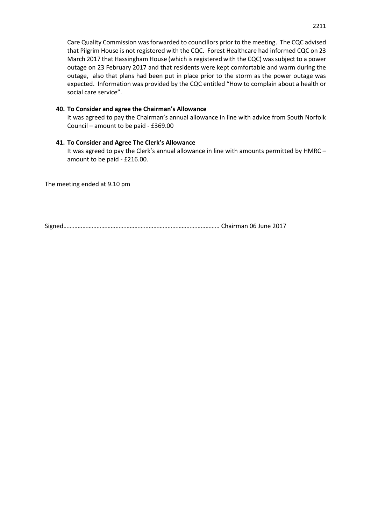Care Quality Commission was forwarded to councillors prior to the meeting. The CQC advised that Pilgrim House is not registered with the CQC. Forest Healthcare had informed CQC on 23 March 2017 that Hassingham House (which is registered with the CQC) was subject to a power outage on 23 February 2017 and that residents were kept comfortable and warm during the outage, also that plans had been put in place prior to the storm as the power outage was expected. Information was provided by the CQC entitled "How to complain about a health or social care service".

#### **40. To Consider and agree the Chairman's Allowance**

It was agreed to pay the Chairman's annual allowance in line with advice from South Norfolk Council – amount to be paid - £369.00

#### **41. To Consider and Agree The Clerk's Allowance**

It was agreed to pay the Clerk's annual allowance in line with amounts permitted by HMRC – amount to be paid - £216.00.

The meeting ended at 9.10 pm

Signed……………………………………………………………………………………… Chairman 06 June 2017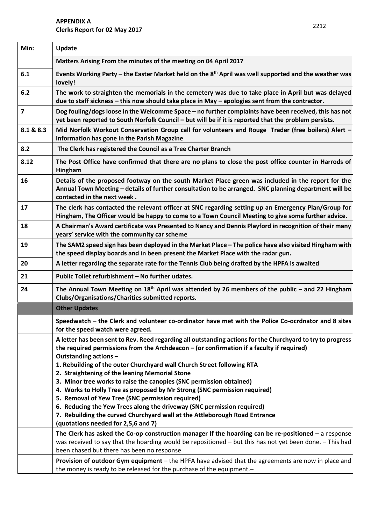# **APPENDIX A Clerks Report for 02 May 2017**

| Min:      | Update                                                                                                                                                                                                                                                           |  |  |  |  |  |
|-----------|------------------------------------------------------------------------------------------------------------------------------------------------------------------------------------------------------------------------------------------------------------------|--|--|--|--|--|
|           | Matters Arising From the minutes of the meeting on 04 April 2017                                                                                                                                                                                                 |  |  |  |  |  |
| 6.1       | Events Working Party – the Easter Market held on the $8th$ April was well supported and the weather was<br>lovely!                                                                                                                                               |  |  |  |  |  |
| 6.2       | The work to straighten the memorials in the cemetery was due to take place in April but was delayed<br>due to staff sickness - this now should take place in May - apologies sent from the contractor.                                                           |  |  |  |  |  |
| 7         | Dog fouling/dogs loose in the Welcomme Space - no further complaints have been received, this has not<br>yet been reported to South Norfolk Council - but will be if it is reported that the problem persists.                                                   |  |  |  |  |  |
| 8.1 & 8.3 | Mid Norfolk Workout Conservation Group call for volunteers and Rouge Trader (free boilers) Alert -<br>information has gone in the Parish Magazine                                                                                                                |  |  |  |  |  |
| 8.2       | The Clerk has registered the Council as a Tree Charter Branch                                                                                                                                                                                                    |  |  |  |  |  |
| 8.12      | The Post Office have confirmed that there are no plans to close the post office counter in Harrods of<br>Hingham                                                                                                                                                 |  |  |  |  |  |
| 16        | Details of the proposed footway on the south Market Place green was included in the report for the<br>Annual Town Meeting - details of further consultation to be arranged. SNC planning department will be<br>contacted in the next week.                       |  |  |  |  |  |
| 17        | The clerk has contacted the relevant officer at SNC regarding setting up an Emergency Plan/Group for<br>Hingham, The Officer would be happy to come to a Town Council Meeting to give some further advice.                                                       |  |  |  |  |  |
| 18        | A Chairman's Award certificate was Presented to Nancy and Dennis Playford in recognition of their many<br>years' service with the community car scheme                                                                                                           |  |  |  |  |  |
| 19        | The SAM2 speed sign has been deployed in the Market Place - The police have also visited Hingham with<br>the speed display boards and in been present the Market Place with the radar gun.                                                                       |  |  |  |  |  |
| 20        | A letter regarding the separate rate for the Tennis Club being drafted by the HPFA is awaited                                                                                                                                                                    |  |  |  |  |  |
| 21        | Public Toilet refurbishment - No further udates.                                                                                                                                                                                                                 |  |  |  |  |  |
| 24        | The Annual Town Meeting on $18th$ April was attended by 26 members of the public – and 22 Hingham<br>Clubs/Organisations/Charities submitted reports.                                                                                                            |  |  |  |  |  |
|           | <b>Other Updates</b>                                                                                                                                                                                                                                             |  |  |  |  |  |
|           | Speedwatch – the Clerk and volunteer co-ordinator have met with the Police Co-ocrdnator and 8 sites<br>for the speed watch were agreed.                                                                                                                          |  |  |  |  |  |
|           | A letter has been sent to Rev. Reed regarding all outstanding actions for the Churchyard to try to progress<br>the required permissions from the Archdeacon - (or confirmation if a faculty if required)<br>Outstanding actions -                                |  |  |  |  |  |
|           | 1. Rebuilding of the outer Churchyard wall Church Street following RTA<br>2. Straightening of the leaning Memorial Stone                                                                                                                                         |  |  |  |  |  |
|           | 3. Minor tree works to raise the canopies (SNC permission obtained)<br>4. Works to Holly Tree as proposed by Mr Strong (SNC permission required)                                                                                                                 |  |  |  |  |  |
|           | 5. Removal of Yew Tree (SNC permission required)                                                                                                                                                                                                                 |  |  |  |  |  |
|           | 6. Reducing the Yew Trees along the driveway (SNC permission required)                                                                                                                                                                                           |  |  |  |  |  |
|           | 7. Rebuilding the curved Churchyard wall at the Attleborough Road Entrance<br>(quotations needed for 2,5,6 and 7)                                                                                                                                                |  |  |  |  |  |
|           | The Clerk has asked the Co-op construction manager If the hoarding can be re-positioned $-$ a response<br>was received to say that the hoarding would be repositioned - but this has not yet been done. - This had<br>been chased but there has been no response |  |  |  |  |  |
|           | Provision of outdoor Gym equipment - the HPFA have advised that the agreements are now in place and<br>the money is ready to be released for the purchase of the equipment.-                                                                                     |  |  |  |  |  |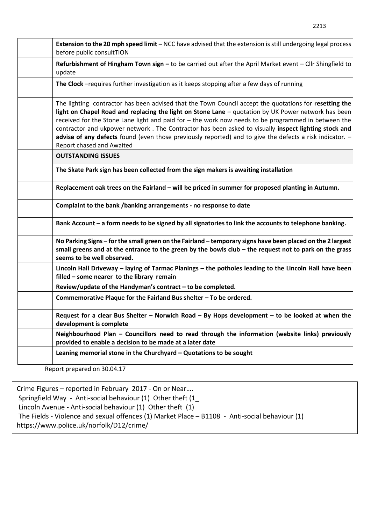| Extension to the 20 mph speed limit - NCC have advised that the extension is still undergoing legal process<br>before public consultTION                                                                                                                                                                                                                                                                                                                                                                                                                              |
|-----------------------------------------------------------------------------------------------------------------------------------------------------------------------------------------------------------------------------------------------------------------------------------------------------------------------------------------------------------------------------------------------------------------------------------------------------------------------------------------------------------------------------------------------------------------------|
| Refurbishment of Hingham Town sign - to be carried out after the April Market event - Cllr Shingfield to<br>update                                                                                                                                                                                                                                                                                                                                                                                                                                                    |
| The Clock -requires further investigation as it keeps stopping after a few days of running                                                                                                                                                                                                                                                                                                                                                                                                                                                                            |
| The lighting contractor has been advised that the Town Council accept the quotations for resetting the<br>light on Chapel Road and replacing the light on Stone Lane - quotation by UK Power network has been<br>received for the Stone Lane light and paid for - the work now needs to be programmed in between the<br>contractor and ukpower network. The Contractor has been asked to visually inspect lighting stock and<br>advise of any defects found (even those previously reported) and to give the defects a risk indicator. -<br>Report chased and Awaited |
| <b>OUTSTANDING ISSUES</b>                                                                                                                                                                                                                                                                                                                                                                                                                                                                                                                                             |
| The Skate Park sign has been collected from the sign makers is awaiting installation                                                                                                                                                                                                                                                                                                                                                                                                                                                                                  |
| Replacement oak trees on the Fairland - will be priced in summer for proposed planting in Autumn.                                                                                                                                                                                                                                                                                                                                                                                                                                                                     |
| Complaint to the bank /banking arrangements - no response to date                                                                                                                                                                                                                                                                                                                                                                                                                                                                                                     |
| Bank Account - a form needs to be signed by all signatories to link the accounts to telephone banking.                                                                                                                                                                                                                                                                                                                                                                                                                                                                |
| No Parking Signs - for the small green on the Fairland - temporary signs have been placed on the 2 largest<br>small greens and at the entrance to the green by the bowls club - the request not to park on the grass<br>seems to be well observed.                                                                                                                                                                                                                                                                                                                    |
| Lincoln Hall Driveway - laying of Tarmac Planings - the potholes leading to the Lincoln Hall have been<br>filled - some nearer to the library remain                                                                                                                                                                                                                                                                                                                                                                                                                  |
| Review/update of the Handyman's contract - to be completed.                                                                                                                                                                                                                                                                                                                                                                                                                                                                                                           |
| Commemorative Plaque for the Fairland Bus shelter - To be ordered.                                                                                                                                                                                                                                                                                                                                                                                                                                                                                                    |
| Request for a clear Bus Shelter - Norwich Road - By Hops development - to be looked at when the                                                                                                                                                                                                                                                                                                                                                                                                                                                                       |

**Neighbourhood Plan – Councillors need to read through the information (website links) previously provided to enable a decision to be made at a later date**

**Leaning memorial stone in the Churchyard – Quotations to be sought** 

Report prepared on 30.04.17

**development is complete** 

Crime Figures – reported in February 2017 - On or Near…. Springfield Way - Anti-social behaviour (1) Other theft (1\_ Lincoln Avenue - Anti-social behaviour (1) Other theft (1) The Fields - Violence and sexual offences (1) Market Place – B1108 - Anti-social behaviour (1) https://www.police.uk/norfolk/D12/crime/